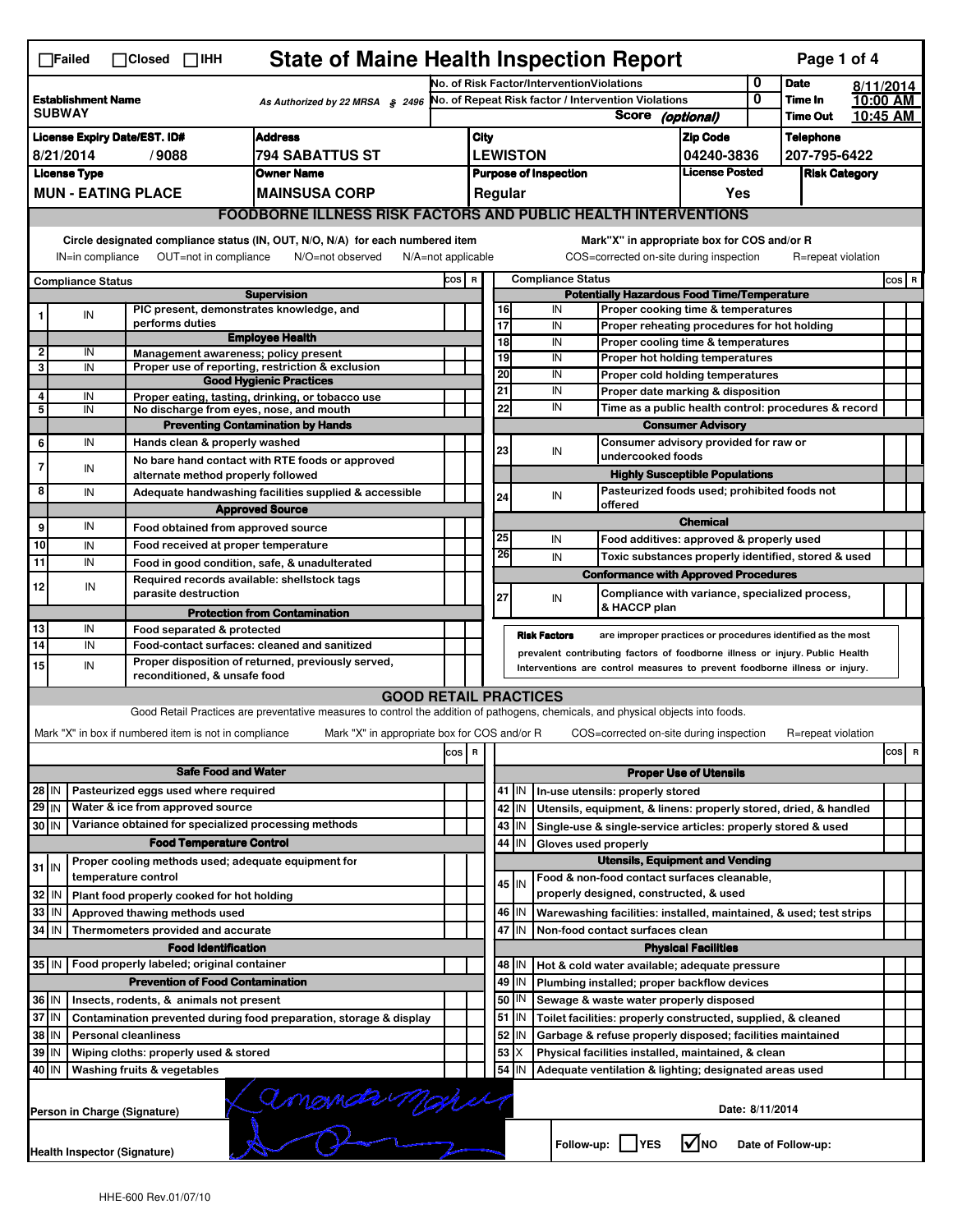| <b>State of Maine Health Inspection Report</b><br>Page 1 of 4<br>$\Box$ Failed<br>$\Box$ Closed $\Box$ IHH |                                                                                          |                  |                                                       |                                                                                                                                   |                                                                     |                                                                                        |                                                          |         |                      |                                                                                        |                               |   |                            |         |                                 |  |
|------------------------------------------------------------------------------------------------------------|------------------------------------------------------------------------------------------|------------------|-------------------------------------------------------|-----------------------------------------------------------------------------------------------------------------------------------|---------------------------------------------------------------------|----------------------------------------------------------------------------------------|----------------------------------------------------------|---------|----------------------|----------------------------------------------------------------------------------------|-------------------------------|---|----------------------------|---------|---------------------------------|--|
| <b>Establishment Name</b><br>As Authorized by 22 MRSA § 2496<br><b>SUBWAY</b>                              |                                                                                          |                  |                                                       |                                                                                                                                   | No. of Risk Factor/InterventionViolations                           |                                                                                        |                                                          |         |                      | 0                                                                                      | <b>Date</b>                   |   | 8/11/2014                  |         |                                 |  |
|                                                                                                            |                                                                                          |                  |                                                       |                                                                                                                                   | No. of Repeat Risk factor / Intervention Violations<br><b>Score</b> |                                                                                        |                                                          |         |                      |                                                                                        |                               | 0 | Time In<br><b>Time Out</b> |         | 10:00 AM<br>10:45 AM            |  |
|                                                                                                            |                                                                                          |                  |                                                       |                                                                                                                                   |                                                                     |                                                                                        | (optional)                                               |         |                      |                                                                                        |                               |   |                            |         |                                 |  |
| <b>Address</b><br><b>License Expiry Date/EST. ID#</b>                                                      |                                                                                          |                  |                                                       |                                                                                                                                   |                                                                     | City                                                                                   |                                                          |         |                      |                                                                                        | <b>Zip Code</b>               |   | <b>Telephone</b>           |         |                                 |  |
| 8/21/2014<br>/9088<br>794 SABATTUS ST                                                                      |                                                                                          |                  |                                                       |                                                                                                                                   |                                                                     | <b>LEWISTON</b><br>04240-3836<br><b>License Posted</b><br><b>Purpose of Inspection</b> |                                                          |         |                      | 207-795-6422<br><b>Risk Category</b>                                                   |                               |   |                            |         |                                 |  |
| <b>License Type</b><br><b>Owner Name</b><br><b>MUN - EATING PLACE</b><br><b>MAINSUSA CORP</b>              |                                                                                          |                  |                                                       |                                                                                                                                   |                                                                     |                                                                                        | Regular                                                  |         |                      |                                                                                        | Yes                           |   |                            |         |                                 |  |
|                                                                                                            |                                                                                          |                  |                                                       | <b>FOODBORNE ILLNESS RISK FACTORS AND PUBLIC HEALTH INTERVENTIONS</b>                                                             |                                                                     |                                                                                        |                                                          |         |                      |                                                                                        |                               |   |                            |         |                                 |  |
|                                                                                                            |                                                                                          |                  |                                                       |                                                                                                                                   |                                                                     |                                                                                        |                                                          |         |                      |                                                                                        |                               |   |                            |         |                                 |  |
|                                                                                                            |                                                                                          | IN=in compliance | OUT=not in compliance                                 | Circle designated compliance status (IN, OUT, N/O, N/A) for each numbered item<br>N/O=not observed<br>$N/A = not$ applicable      |                                                                     |                                                                                        |                                                          |         |                      | Mark"X" in appropriate box for COS and/or R<br>COS=corrected on-site during inspection |                               |   | R=repeat violation         |         |                                 |  |
|                                                                                                            |                                                                                          |                  |                                                       |                                                                                                                                   | COS R<br><b>Compliance Status</b>                                   |                                                                                        |                                                          |         |                      |                                                                                        |                               |   |                            | $cos$ R |                                 |  |
|                                                                                                            | <b>Compliance Status</b>                                                                 |                  |                                                       | <b>Supervision</b>                                                                                                                |                                                                     |                                                                                        | <b>Potentially Hazardous Food Time/Temperature</b>       |         |                      |                                                                                        |                               |   |                            |         |                                 |  |
|                                                                                                            | IN                                                                                       |                  | PIC present, demonstrates knowledge, and              |                                                                                                                                   |                                                                     |                                                                                        | 16                                                       |         | IN                   | Proper cooking time & temperatures                                                     |                               |   |                            |         |                                 |  |
|                                                                                                            |                                                                                          |                  | performs duties                                       | <b>Employee Health</b>                                                                                                            |                                                                     |                                                                                        | 17                                                       |         | IN                   | Proper reheating procedures for hot holding                                            |                               |   |                            |         |                                 |  |
| $\overline{\mathbf{2}}$                                                                                    | IN                                                                                       |                  | Management awareness; policy present                  |                                                                                                                                   |                                                                     |                                                                                        | 18                                                       |         | IN                   | Proper cooling time & temperatures                                                     |                               |   |                            |         |                                 |  |
| 3                                                                                                          | IN                                                                                       |                  |                                                       | Proper use of reporting, restriction & exclusion                                                                                  |                                                                     |                                                                                        | 19<br>20                                                 |         | IN<br>IN             | <b>Proper hot holding temperatures</b>                                                 |                               |   |                            |         |                                 |  |
|                                                                                                            |                                                                                          |                  |                                                       | <b>Good Hygienic Practices</b>                                                                                                    |                                                                     |                                                                                        | 21                                                       |         | IN                   | Proper cold holding temperatures                                                       |                               |   |                            |         |                                 |  |
| 4<br>5                                                                                                     | IN<br>IN                                                                                 |                  |                                                       | Proper eating, tasting, drinking, or tobacco use                                                                                  |                                                                     |                                                                                        | 22                                                       |         | IN                   | Proper date marking & disposition                                                      |                               |   |                            |         |                                 |  |
|                                                                                                            |                                                                                          |                  | No discharge from eyes, nose, and mouth               | <b>Preventing Contamination by Hands</b>                                                                                          |                                                                     |                                                                                        |                                                          |         |                      | Time as a public health control: procedures & record<br><b>Consumer Advisory</b>       |                               |   |                            |         |                                 |  |
| 6                                                                                                          | IN                                                                                       |                  | Hands clean & properly washed                         |                                                                                                                                   |                                                                     |                                                                                        |                                                          |         |                      | Consumer advisory provided for raw or                                                  |                               |   |                            |         |                                 |  |
|                                                                                                            |                                                                                          |                  |                                                       | No bare hand contact with RTE foods or approved                                                                                   |                                                                     |                                                                                        | 23                                                       |         | IN                   | undercooked foods                                                                      |                               |   |                            |         |                                 |  |
| 7                                                                                                          | IN                                                                                       |                  | alternate method properly followed                    |                                                                                                                                   |                                                                     |                                                                                        |                                                          |         |                      | <b>Highly Susceptible Populations</b>                                                  |                               |   |                            |         |                                 |  |
| 8                                                                                                          | IN                                                                                       |                  |                                                       | Adequate handwashing facilities supplied & accessible                                                                             |                                                                     |                                                                                        | 24                                                       |         | IN                   | Pasteurized foods used; prohibited foods not                                           |                               |   |                            |         |                                 |  |
|                                                                                                            |                                                                                          |                  |                                                       | <b>Approved Source</b>                                                                                                            |                                                                     |                                                                                        |                                                          |         |                      | offered                                                                                |                               |   |                            |         |                                 |  |
| 9                                                                                                          | IN                                                                                       |                  | Food obtained from approved source                    |                                                                                                                                   |                                                                     |                                                                                        |                                                          |         |                      |                                                                                        | <b>Chemical</b>               |   |                            |         |                                 |  |
| 10                                                                                                         | IN                                                                                       |                  | Food received at proper temperature                   |                                                                                                                                   |                                                                     |                                                                                        | 25                                                       |         | IN                   | Food additives: approved & properly used                                               |                               |   |                            |         |                                 |  |
| 11                                                                                                         | IN                                                                                       |                  | Food in good condition, safe, & unadulterated         |                                                                                                                                   |                                                                     |                                                                                        | 26                                                       |         | IN                   | Toxic substances properly identified, stored & used                                    |                               |   |                            |         |                                 |  |
| 12                                                                                                         |                                                                                          | IN               | Required records available: shellstock tags           |                                                                                                                                   |                                                                     |                                                                                        |                                                          |         |                      | <b>Conformance with Approved Procedures</b>                                            |                               |   |                            |         |                                 |  |
|                                                                                                            |                                                                                          |                  | parasite destruction                                  |                                                                                                                                   |                                                                     |                                                                                        | 27                                                       |         | IN                   | Compliance with variance, specialized process,                                         |                               |   |                            |         |                                 |  |
|                                                                                                            |                                                                                          |                  |                                                       | <b>Protection from Contamination</b>                                                                                              |                                                                     |                                                                                        |                                                          |         |                      | & HACCP plan                                                                           |                               |   |                            |         |                                 |  |
| 13                                                                                                         | IN                                                                                       |                  | Food separated & protected                            |                                                                                                                                   |                                                                     |                                                                                        |                                                          |         | <b>Risk Factors</b>  | are improper practices or procedures identified as the most                            |                               |   |                            |         |                                 |  |
| 14                                                                                                         | IN                                                                                       |                  | Food-contact surfaces: cleaned and sanitized          | Proper disposition of returned, previously served,                                                                                |                                                                     |                                                                                        |                                                          |         |                      | prevalent contributing factors of foodborne illness or injury. Public Health           |                               |   |                            |         |                                 |  |
| 15                                                                                                         | IN                                                                                       |                  | reconditioned, & unsafe food                          |                                                                                                                                   |                                                                     |                                                                                        |                                                          |         |                      | Interventions are control measures to prevent foodborne illness or injury.             |                               |   |                            |         |                                 |  |
|                                                                                                            |                                                                                          |                  |                                                       | <b>GOOD RETAIL PRACTICES</b>                                                                                                      |                                                                     |                                                                                        |                                                          |         |                      |                                                                                        |                               |   |                            |         |                                 |  |
|                                                                                                            |                                                                                          |                  |                                                       | Good Retail Practices are preventative measures to control the addition of pathogens, chemicals, and physical objects into foods. |                                                                     |                                                                                        |                                                          |         |                      |                                                                                        |                               |   |                            |         |                                 |  |
|                                                                                                            |                                                                                          |                  | Mark "X" in box if numbered item is not in compliance | Mark "X" in appropriate box for COS and/or R                                                                                      |                                                                     |                                                                                        |                                                          |         |                      | COS=corrected on-site during inspection                                                |                               |   | R=repeat violation         |         |                                 |  |
|                                                                                                            |                                                                                          |                  |                                                       |                                                                                                                                   | cos R                                                               |                                                                                        |                                                          |         |                      |                                                                                        |                               |   |                            |         | cosl<br>$\overline{\mathbf{R}}$ |  |
|                                                                                                            |                                                                                          |                  | <b>Safe Food and Water</b>                            |                                                                                                                                   |                                                                     |                                                                                        |                                                          |         |                      |                                                                                        | <b>Proper Use of Utensils</b> |   |                            |         |                                 |  |
| $28$ IN                                                                                                    |                                                                                          |                  | Pasteurized eggs used where required                  |                                                                                                                                   |                                                                     |                                                                                        |                                                          | $41$ IN |                      | In-use utensils: properly stored                                                       |                               |   |                            |         |                                 |  |
| $29$ IN                                                                                                    |                                                                                          |                  | Water & ice from approved source                      |                                                                                                                                   |                                                                     |                                                                                        | 42                                                       | IN      |                      | Utensils, equipment, & linens: properly stored, dried, & handled                       |                               |   |                            |         |                                 |  |
| 30 IN                                                                                                      |                                                                                          |                  | Variance obtained for specialized processing methods  |                                                                                                                                   |                                                                     |                                                                                        | 43                                                       | IN      |                      | Single-use & single-service articles: properly stored & used                           |                               |   |                            |         |                                 |  |
|                                                                                                            |                                                                                          |                  | <b>Food Temperature Control</b>                       |                                                                                                                                   |                                                                     |                                                                                        | 44                                                       | IN      | Gloves used properly |                                                                                        |                               |   |                            |         |                                 |  |
|                                                                                                            |                                                                                          |                  | Proper cooling methods used; adequate equipment for   |                                                                                                                                   |                                                                     |                                                                                        | <b>Utensils, Equipment and Vending</b>                   |         |                      |                                                                                        |                               |   |                            |         |                                 |  |
| $31$ IN                                                                                                    |                                                                                          |                  | temperature control                                   |                                                                                                                                   |                                                                     |                                                                                        |                                                          |         |                      | Food & non-food contact surfaces cleanable,                                            |                               |   |                            |         |                                 |  |
| 32                                                                                                         | IN                                                                                       |                  | Plant food properly cooked for hot holding            |                                                                                                                                   |                                                                     |                                                                                        | 45 I IN                                                  |         |                      | properly designed, constructed, & used                                                 |                               |   |                            |         |                                 |  |
| 33                                                                                                         | IN                                                                                       |                  | Approved thawing methods used                         |                                                                                                                                   |                                                                     |                                                                                        | 46                                                       | IN      |                      | Warewashing facilities: installed, maintained, & used; test strips                     |                               |   |                            |         |                                 |  |
| 34 IN                                                                                                      |                                                                                          |                  | Thermometers provided and accurate                    |                                                                                                                                   |                                                                     |                                                                                        | 47 IN                                                    |         |                      | Non-food contact surfaces clean                                                        |                               |   |                            |         |                                 |  |
|                                                                                                            |                                                                                          |                  | <b>Food Identification</b>                            |                                                                                                                                   |                                                                     |                                                                                        | <b>Physical Facilities</b>                               |         |                      |                                                                                        |                               |   |                            |         |                                 |  |
|                                                                                                            |                                                                                          |                  | 35 IN   Food properly labeled; original container     |                                                                                                                                   |                                                                     |                                                                                        | 48 I IN<br>Hot & cold water available; adequate pressure |         |                      |                                                                                        |                               |   |                            |         |                                 |  |
|                                                                                                            |                                                                                          |                  | <b>Prevention of Food Contamination</b>               |                                                                                                                                   |                                                                     |                                                                                        | 49                                                       | IN      |                      | Plumbing installed; proper backflow devices                                            |                               |   |                            |         |                                 |  |
| 36 IN<br>Insects, rodents, & animals not present                                                           |                                                                                          |                  |                                                       |                                                                                                                                   |                                                                     |                                                                                        | 50<br>IN<br>Sewage & waste water properly disposed       |         |                      |                                                                                        |                               |   |                            |         |                                 |  |
| 37<br>IN<br>Contamination prevented during food preparation, storage & display                             |                                                                                          |                  |                                                       |                                                                                                                                   |                                                                     |                                                                                        | 51                                                       | ΙN      |                      | Toilet facilities: properly constructed, supplied, & cleaned                           |                               |   |                            |         |                                 |  |
| 38<br>IN<br><b>Personal cleanliness</b>                                                                    |                                                                                          |                  |                                                       |                                                                                                                                   |                                                                     |                                                                                        | 52                                                       | IN      |                      | Garbage & refuse properly disposed; facilities maintained                              |                               |   |                            |         |                                 |  |
| 39<br>IN<br>Wiping cloths: properly used & stored                                                          |                                                                                          |                  |                                                       |                                                                                                                                   |                                                                     |                                                                                        | 53                                                       | Χ       |                      | Physical facilities installed, maintained, & clean                                     |                               |   |                            |         |                                 |  |
| 40 IN<br>Washing fruits & vegetables                                                                       |                                                                                          |                  |                                                       |                                                                                                                                   |                                                                     |                                                                                        | 54                                                       | IN      |                      | Adequate ventilation & lighting; designated areas used                                 |                               |   |                            |         |                                 |  |
|                                                                                                            | amounds make<br>Date: 8/11/2014<br>Person in Charge (Signature)                          |                  |                                                       |                                                                                                                                   |                                                                     |                                                                                        |                                                          |         |                      |                                                                                        |                               |   |                            |         |                                 |  |
|                                                                                                            | l√lno<br>Follow-up:     YES<br>Date of Follow-up:<br><b>Health Inspector (Signature)</b> |                  |                                                       |                                                                                                                                   |                                                                     |                                                                                        |                                                          |         |                      |                                                                                        |                               |   |                            |         |                                 |  |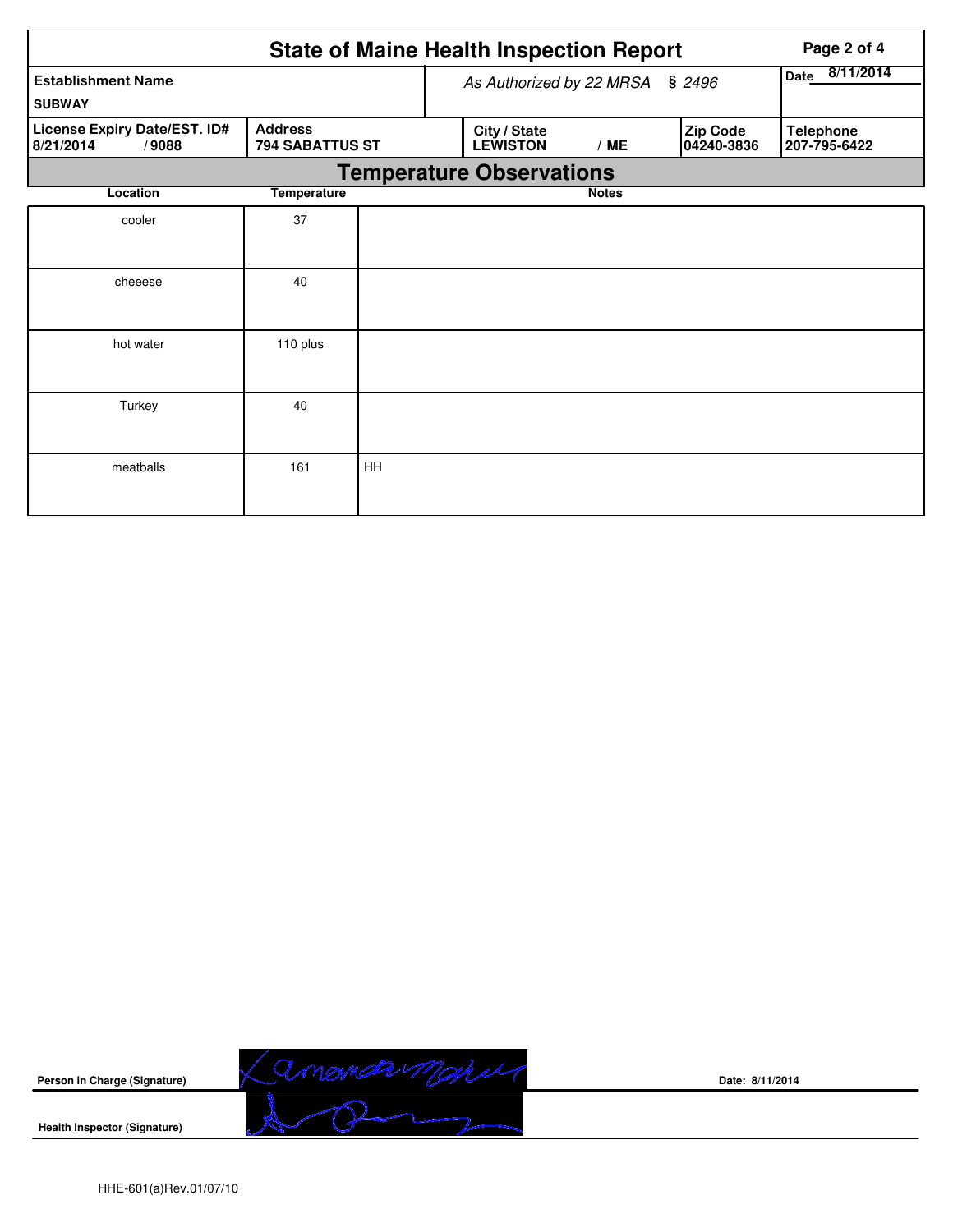|                                                    |                                          |                                        | <b>State of Maine Health Inspection Report</b> | Page 2 of 4  |                        |                                  |
|----------------------------------------------------|------------------------------------------|----------------------------------------|------------------------------------------------|--------------|------------------------|----------------------------------|
| <b>Establishment Name</b>                          |                                          | As Authorized by 22 MRSA § 2496        | 8/11/2014<br>Date                              |              |                        |                                  |
| <b>SUBWAY</b>                                      |                                          |                                        |                                                |              |                        |                                  |
| License Expiry Date/EST. ID#<br>8/21/2014<br>/9088 | <b>Address</b><br><b>794 SABATTUS ST</b> | City / State<br><b>LEWISTON</b><br>/ME |                                                |              | Zip Code<br>04240-3836 | <b>Telephone</b><br>207-795-6422 |
|                                                    |                                          |                                        | <b>Temperature Observations</b>                |              |                        |                                  |
| Location                                           | <b>Temperature</b>                       |                                        |                                                | <b>Notes</b> |                        |                                  |
| cooler                                             | 37                                       |                                        |                                                |              |                        |                                  |
|                                                    |                                          |                                        |                                                |              |                        |                                  |
| cheeese                                            | 40                                       |                                        |                                                |              |                        |                                  |
|                                                    |                                          |                                        |                                                |              |                        |                                  |
| hot water                                          | 110 plus                                 |                                        |                                                |              |                        |                                  |
|                                                    |                                          |                                        |                                                |              |                        |                                  |
| Turkey                                             | 40                                       |                                        |                                                |              |                        |                                  |
|                                                    |                                          |                                        |                                                |              |                        |                                  |
| meatballs                                          | 161                                      | HH                                     |                                                |              |                        |                                  |
|                                                    |                                          |                                        |                                                |              |                        |                                  |



**Date: 8/11/2014**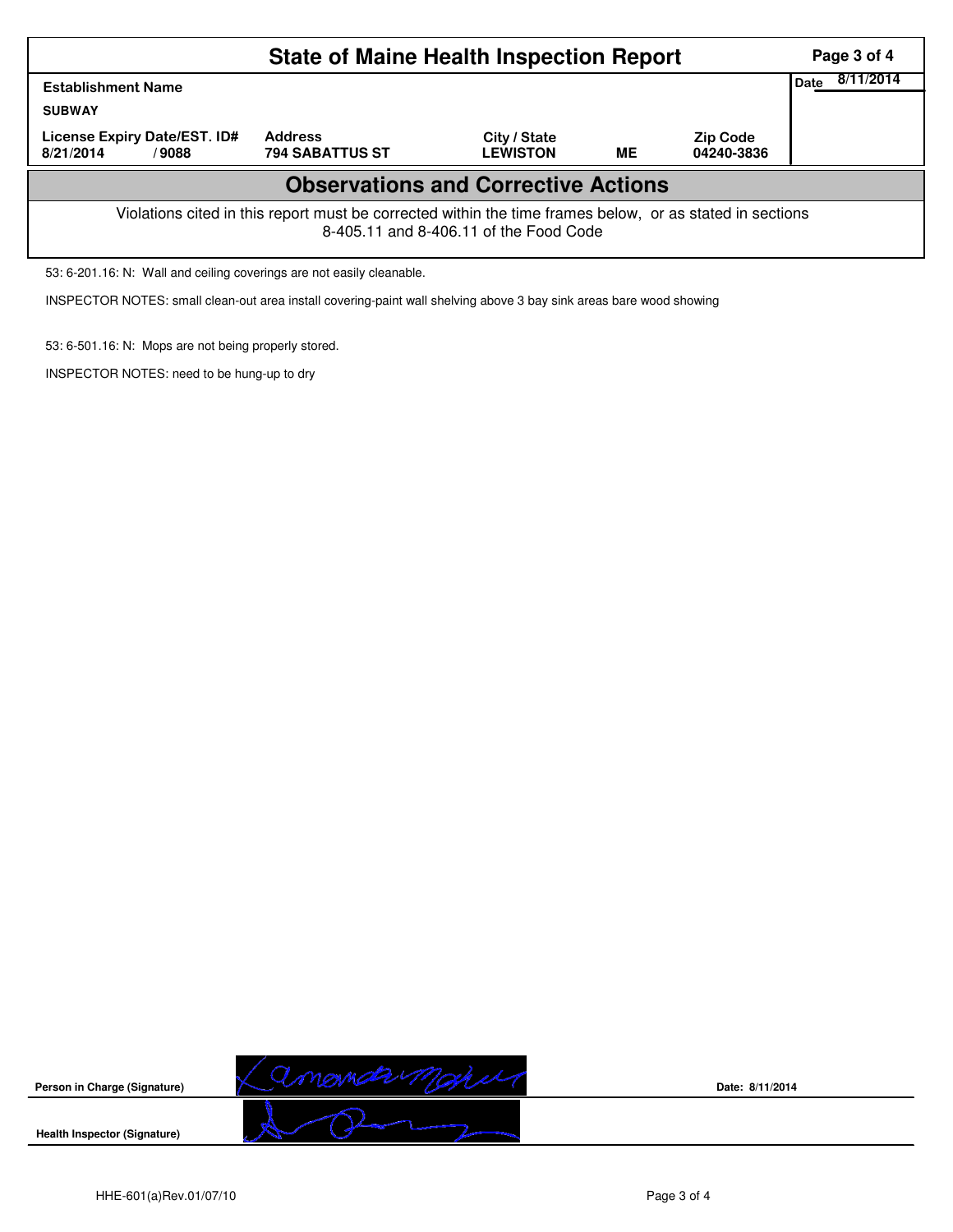|                                                                                                                                                    | Page 3 of 4                              |                                 |    |                               |  |  |  |  |  |
|----------------------------------------------------------------------------------------------------------------------------------------------------|------------------------------------------|---------------------------------|----|-------------------------------|--|--|--|--|--|
| <b>Establishment Name</b>                                                                                                                          | 8/11/2014<br>Date                        |                                 |    |                               |  |  |  |  |  |
| <b>SUBWAY</b>                                                                                                                                      |                                          |                                 |    |                               |  |  |  |  |  |
| License Expiry Date/EST. ID#<br>8/21/2014<br>/9088                                                                                                 | <b>Address</b><br><b>794 SABATTUS ST</b> | City / State<br><b>LEWISTON</b> | ME | <b>Zip Code</b><br>04240-3836 |  |  |  |  |  |
| <b>Observations and Corrective Actions</b>                                                                                                         |                                          |                                 |    |                               |  |  |  |  |  |
| Violations cited in this report must be corrected within the time frames below, or as stated in sections<br>8-405.11 and 8-406.11 of the Food Code |                                          |                                 |    |                               |  |  |  |  |  |

53: 6-201.16: N: Wall and ceiling coverings are not easily cleanable.

INSPECTOR NOTES: small clean-out area install covering-paint wall shelving above 3 bay sink areas bare wood showing

53: 6-501.16: N: Mops are not being properly stored.

INSPECTOR NOTES: need to be hung-up to dry



**Date: 8/11/2014**

**Health Inspector (Signature)**